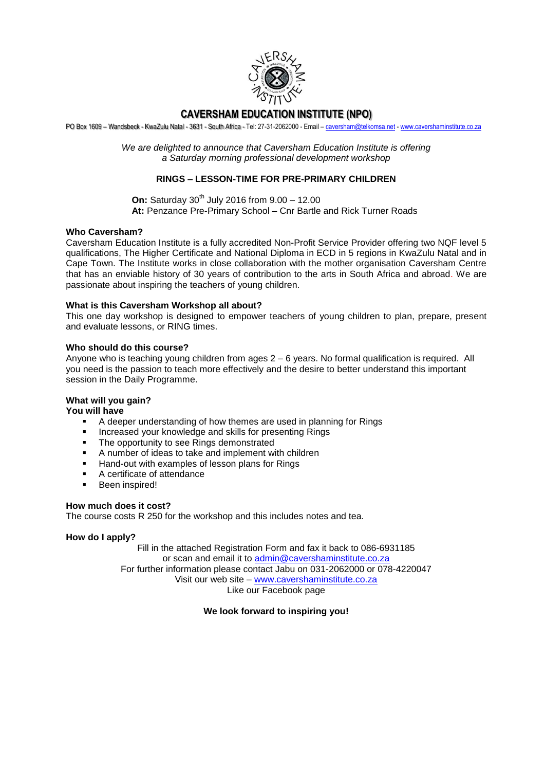

## **CAVERSHAM EDUCATION INSTITUTE (NPO)**

PO Box 1609 – Wandsbeck - KwaZulu Natal - 3631 - South Africa - Tel: 27-31-2062000 - Email – [caversham@telkomsa.net](mailto:caversham@telkomsa.net) - [www.cavershaminstitute.co.za](http://www.cavershaminstitute.co.za/)

*We are delighted to announce that Caversham Education Institute is offering a Saturday morning professional development workshop*

## **RINGS – LESSON-TIME FOR PRE-PRIMARY CHILDREN**

**On:** Saturday 30<sup>th</sup> July 2016 from 9.00 - 12.00 **At:** Penzance Pre-Primary School – Cnr Bartle and Rick Turner Roads

#### **Who Caversham?**

Caversham Education Institute is a fully accredited Non-Profit Service Provider offering two NQF level 5 qualifications, The Higher Certificate and National Diploma in ECD in 5 regions in KwaZulu Natal and in Cape Town. The Institute works in close collaboration with the mother organisation Caversham Centre that has an enviable history of 30 years of contribution to the arts in South Africa and abroad. We are passionate about inspiring the teachers of young children.

#### **What is this Caversham Workshop all about?**

This one day workshop is designed to empower teachers of young children to plan, prepare, present and evaluate lessons, or RING times.

#### **Who should do this course?**

Anyone who is teaching young children from ages 2 – 6 years. No formal qualification is required. All you need is the passion to teach more effectively and the desire to better understand this important session in the Daily Programme.

## **What will you gain?**

**You will have** 

- A deeper understanding of how themes are used in planning for Rings
- Increased your knowledge and skills for presenting Rings
- The opportunity to see Rings demonstrated
- A number of ideas to take and implement with children
- Hand-out with examples of lesson plans for Rings
- A certificate of attendance
- **Been inspired!**

#### **How much does it cost?**

The course costs R 250 for the workshop and this includes notes and tea.

#### **How do I apply?**

Fill in the attached Registration Form and fax it back to 086-6931185 or scan and email it to [admin@cavershaminstitute.co.za](mailto:admin@cavershaminstitute.co.za) For further information please contact Jabu on 031-2062000 or 078-4220047 Visit our web site – [www.cavershaminstitute.co.za](http://www.cavershaminstitute.co.za/) Like our Facebook page

#### **We look forward to inspiring you!**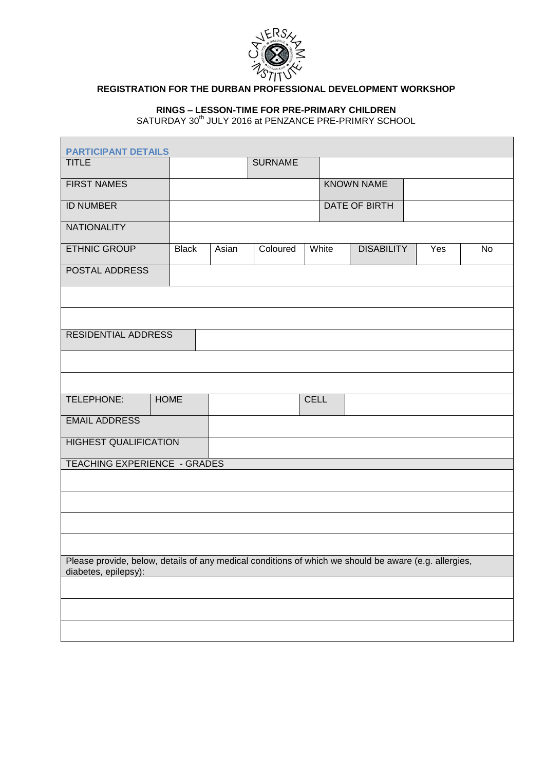

# **REGISTRATION FOR THE DURBAN PROFESSIONAL DEVELOPMENT WORKSHOP**

## **RINGS – LESSON-TIME FOR PRE-PRIMARY CHILDREN**

SATURDAY 30<sup>th</sup> JULY 2016 at PENZANCE PRE-PRIMRY SCHOOL

| <b>PARTICIPANT DETAILS</b>                                                                            |              |       |                |             |               |                   |  |     |    |
|-------------------------------------------------------------------------------------------------------|--------------|-------|----------------|-------------|---------------|-------------------|--|-----|----|
| <b>TITLE</b>                                                                                          |              |       | <b>SURNAME</b> |             |               |                   |  |     |    |
| <b>FIRST NAMES</b>                                                                                    |              |       |                |             |               | <b>KNOWN NAME</b> |  |     |    |
| <b>ID NUMBER</b>                                                                                      |              |       |                |             | DATE OF BIRTH |                   |  |     |    |
| <b>NATIONALITY</b>                                                                                    |              |       |                |             |               |                   |  |     |    |
| <b>ETHNIC GROUP</b>                                                                                   | <b>Black</b> | Asian | Coloured       |             | White         | <b>DISABILITY</b> |  | Yes | No |
| POSTAL ADDRESS                                                                                        |              |       |                |             |               |                   |  |     |    |
|                                                                                                       |              |       |                |             |               |                   |  |     |    |
|                                                                                                       |              |       |                |             |               |                   |  |     |    |
| <b>RESIDENTIAL ADDRESS</b>                                                                            |              |       |                |             |               |                   |  |     |    |
|                                                                                                       |              |       |                |             |               |                   |  |     |    |
|                                                                                                       |              |       |                |             |               |                   |  |     |    |
| TELEPHONE:                                                                                            | <b>HOME</b>  |       |                | <b>CELL</b> |               |                   |  |     |    |
| <b>EMAIL ADDRESS</b>                                                                                  |              |       |                |             |               |                   |  |     |    |
| <b>HIGHEST QUALIFICATION</b>                                                                          |              |       |                |             |               |                   |  |     |    |
| TEACHING EXPERIENCE - GRADES                                                                          |              |       |                |             |               |                   |  |     |    |
|                                                                                                       |              |       |                |             |               |                   |  |     |    |
|                                                                                                       |              |       |                |             |               |                   |  |     |    |
|                                                                                                       |              |       |                |             |               |                   |  |     |    |
| Please provide, below, details of any medical conditions of which we should be aware (e.g. allergies, |              |       |                |             |               |                   |  |     |    |
| diabetes, epilepsy):                                                                                  |              |       |                |             |               |                   |  |     |    |
|                                                                                                       |              |       |                |             |               |                   |  |     |    |
|                                                                                                       |              |       |                |             |               |                   |  |     |    |
|                                                                                                       |              |       |                |             |               |                   |  |     |    |